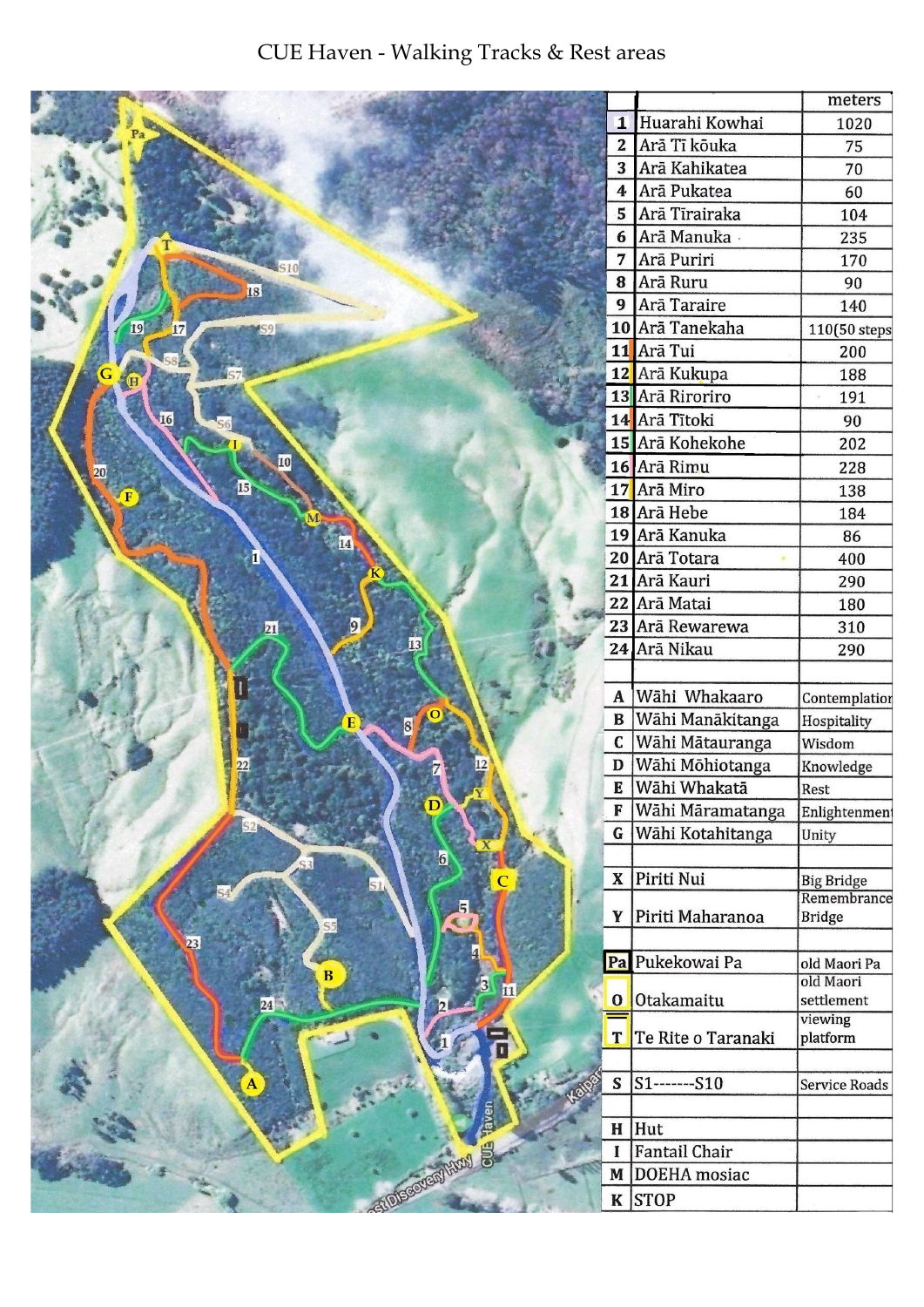## CUE Haven - Walking Tracks & Rest areas

|                       |                         |                     | meters                  |
|-----------------------|-------------------------|---------------------|-------------------------|
|                       | $\overline{\mathbf{1}}$ | Huarahi Kowhai      | 1020                    |
|                       |                         | 2 Arā Tī kōuka      | 75                      |
|                       | 3                       | Arā Kahikatea       | 70                      |
|                       | 4                       | Arā Pukatea         | 60                      |
|                       |                         | 5 Arā Tīrairaka     | 104                     |
|                       |                         | 6 Arā Manuka        | 235                     |
|                       | 7                       | Arā Puriri          | 170                     |
| 18                    | 8                       | Arā Ruru            | 90                      |
|                       | 9                       | Arā Taraire         | 140                     |
| 19<br>IS <sub>9</sub> |                         | 10 Arā Tanekaha     | 110(50 steps            |
|                       |                         | 11 Arā Tui          | 200                     |
|                       | 12                      | Arā Kukupa          | 188                     |
|                       |                         | 13 Arā Riroriro     | 191                     |
| 16                    |                         | 14 Arā Tītoki       | 90                      |
|                       |                         | 15 Arā Kohekohe     | 202                     |
| 10<br>20              |                         | 16 Arā Rimu         | 228                     |
| $\mathbf{E}$          |                         | 17 Arā Miro         | 138                     |
|                       |                         | 18 Arā Hebe         | 184                     |
|                       |                         | 19 Arā Kanuka       | 86                      |
|                       |                         | 20 Arā Totara       | 400                     |
|                       | 21                      | Arā Kauri           | 290                     |
|                       |                         | 22 Arā Matai        | 180                     |
| $\overline{21}$       |                         | 23 Arā Rewarewa     | 310                     |
|                       |                         | 24 Arā Nikau        | 290                     |
|                       |                         |                     |                         |
|                       | $\mathbf A$             | Wāhi Whakaaro       | Contemplation           |
|                       | $\mathbf B$             | Wāhi Manākitanga    | Hospitality             |
| 8                     | $\mathbf C$             | Wāhi Mātauranga     | Wisdom                  |
| 22                    | D                       | Wāhi Mōhiotanga     | Knowledge               |
|                       | E                       | Wāhi Whakatā        | Rest                    |
|                       | F                       | Wāhi Māramatanga    | Enlightenment           |
|                       | $\mathbf G$             | Wāhi Kotahitanga    | Unity                   |
| 6                     |                         |                     |                         |
|                       | $\mathbf X$             | Piriti Nui          | <b>Big Bridge</b>       |
|                       |                         |                     | Remembrance             |
|                       | Y                       | Piriti Maharanoa    | <b>Bridge</b>           |
| 23                    |                         |                     |                         |
|                       |                         | Pa Pukekowai Pa     | old Maori Pa            |
|                       |                         | Otakamaitu          | old Maori<br>settlement |
|                       | $\bf{O}$                |                     | viewing                 |
|                       | T                       | Te Rite o Taranaki  | platform                |
|                       |                         |                     |                         |
|                       | ${\mathbb S}$           | $S1$ -------- $S10$ | Service Roads           |
|                       |                         |                     |                         |
|                       | H                       | Hut                 |                         |
|                       | $\mathbf I$             | Fantail Chair       |                         |
| GTOTSGOVSNY ARXY      | M                       | DOEHA mosiac        |                         |
|                       |                         | $K$ STOP            |                         |
|                       |                         |                     |                         |